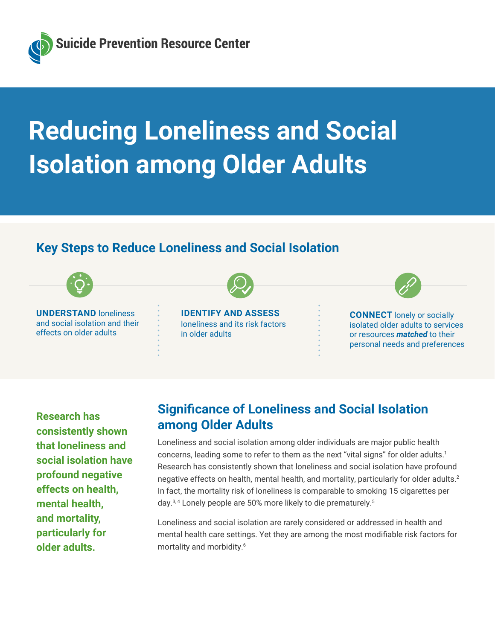<span id="page-0-0"></span>

# **Reducing Loneliness and Social Isolation among Older Adults**

# **Key Steps to Reduce Loneliness and Social Isolation**



**Research has consistently shown that loneliness and social isolation have profound negative effects on health, mental health, and mortality, particularly for older adults.**

# **Significance of Loneliness and Social Isolation among Older Adults**

Loneliness and social isolation among older individuals are major public health concerns, leading some to refer to them as the next "vital signs" for older adults.[1](#page-6-0) Research has consistently shown that loneliness and social isolation have profound negative effects on health, mental health, and mortality, particularly for older adults.[2](#page-6-0) In fact, the mortality risk of loneliness is comparable to smoking 15 cigarettes per day.<sup>3,4</sup> Lonely people are 50% more likely to die prematurely.<sup>5</sup>

Loneliness and social isolation are rarely considered or addressed in health and mental health care settings. Yet they are among the most modifiable risk factors for mortality and morbidity.<sup>[6](#page-6-0)</sup>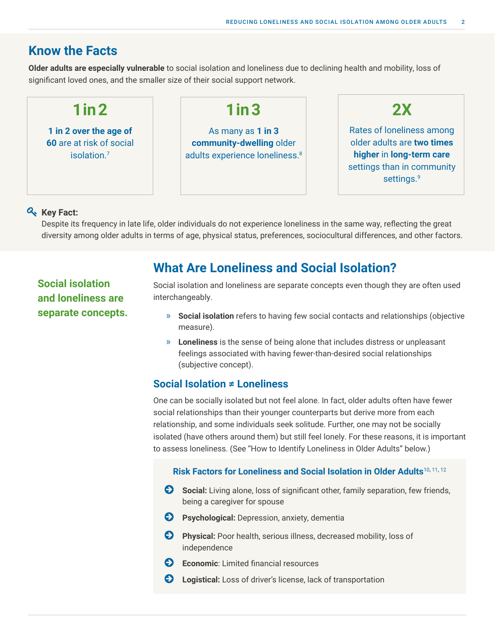# <span id="page-1-0"></span>**Know the Facts**

**Older adults are especially vulnerable** to social isolation and loneliness due to declining health and mobility, loss of significant loved ones, and the smaller size of their social support network.

| $1$ in $2$                                                        | $1$ in $3$                                                                                  | 2X                                                                                                                                          |
|-------------------------------------------------------------------|---------------------------------------------------------------------------------------------|---------------------------------------------------------------------------------------------------------------------------------------------|
| 1 in 2 over the age of<br>60 are at risk of social<br>isolation.7 | As many as 1 in 3<br>community-dwelling older<br>adults experience loneliness. <sup>8</sup> | Rates of loneliness among<br>older adults are two times<br>higher in long-term care<br>settings than in community<br>settings. <sup>9</sup> |

## **Key Fact:**

Despite its frequency in late life, older individuals do not experience loneliness in the same way, reflecting the great diversity among older adults in terms of age, physical status, preferences, sociocultural differences, and other factors.

**Social isolation and loneliness are separate concepts.**

# **What Are Loneliness and Social Isolation?**

Social isolation and loneliness are separate concepts even though they are often used interchangeably.

- » **Social isolation** refers to having few social contacts and relationships (objective measure).
- » **Loneliness** is the sense of being alone that includes distress or unpleasant feelings associated with having fewer-than-desired social relationships (subjective concept).

## **Social Isolation ≠ Loneliness**

One can be socially isolated but not feel alone. In fact, older adults often have fewer social relationships than their younger counterparts but derive more from each relationship, and some individuals seek solitude. Further, one may not be socially isolated (have others around them) but still feel lonely. For these reasons, it is important to assess loneliness. (See "How to Identify Loneliness in Older Adults" below.)

## **Risk Factors for Loneliness and Social Isolation in Older Adults**[10](#page-6-0)**,** [11](#page-6-0)**,** [12](#page-6-0)

- **Social:** Living alone, loss of significant other, family separation, few friends, being a caregiver for spouse
- **E** Psychological: Depression, anxiety, dementia
- **EX** Physical: Poor health, serious illness, decreased mobility, loss of independence
- **Exercise:** Limited financial resources
- **EXTE:** Logistical: Loss of driver's license, lack of transportation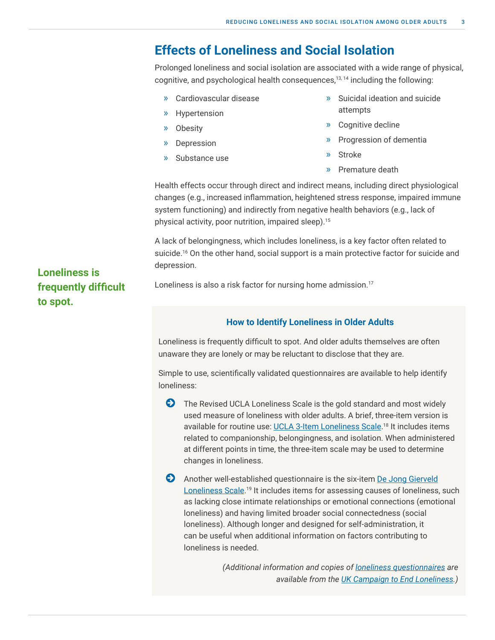# <span id="page-2-0"></span>**Effects of Loneliness and Social Isolation**

Prolonged loneliness and social isolation are associated with a wide range of physical, cognitive, and psychological health consequences,<sup>13,14</sup> including the following:

- » Cardiovascular disease
- » Hypertension
- » Obesity
- » Depression
- » Substance use
- » Suicidal ideation and suicide attempts
- » Cognitive decline
- » Progression of dementia
- » Stroke
- » Premature death

Health effects occur through direct and indirect means, including direct physiological changes (e.g., increased inflammation, heightened stress response, impaired immune system functioning) and indirectly from negative health behaviors (e.g., lack of physical activity, poor nutrition, impaired sleep)[.15](#page-6-0)

A lack of belongingness, which includes loneliness, is a key factor often related to suicide.<sup>[16](#page-6-0)</sup> On the other hand, social support is a main protective factor for suicide and depression.

Loneliness is also a risk factor for nursing home admission.<sup>[17](#page-6-0)</sup>

### **How to Identify Loneliness in Older Adults**

Loneliness is frequently difficult to spot. And older adults themselves are often unaware they are lonely or may be reluctant to disclose that they are.

Simple to use, scientifically validated questionnaires are available to help identify loneliness:

**•** The Revised UCLA Loneliness Scale is the gold standard and most widely used measure of loneliness with older adults. A brief, three-item version is available for routine use: [UCLA 3-Item Loneliness Scale.](https://www.campaigntoendloneliness.org/wp-content/uploads/Loneliness-Measurement-Guidance1.pdf)<sup>18</sup> It includes items related to companionship, belongingness, and isolation. When administered at different points in time, the three-item scale may be used to determine changes in loneliness.

» Another well-established questionnaire is the six-item [De Jong Gierveld](https://www.campaigntoendloneliness.org/wp-content/uploads/Loneliness-Measurement-Guidance1.pdf) [Loneliness Scale](https://www.campaigntoendloneliness.org/wp-content/uploads/Loneliness-Measurement-Guidance1.pdf).<sup>[19](#page-6-0)</sup> It includes items for assessing causes of loneliness, such as lacking close intimate relationships or emotional connections (emotional loneliness) and having limited broader social connectedness (social loneliness). Although longer and designed for self-administration, it can be useful when additional information on factors contributing to loneliness is needed.

> *(Additional information and copies of [loneliness questionnaires](https://www.campaigntoendloneliness.org/wp-content/uploads/Loneliness-Measurement-Guidance1.pdf) are available from the [UK Campaign to End Loneliness.](https://www.campaigntoendloneliness.org))*

# **Loneliness is frequently difficult to spot.**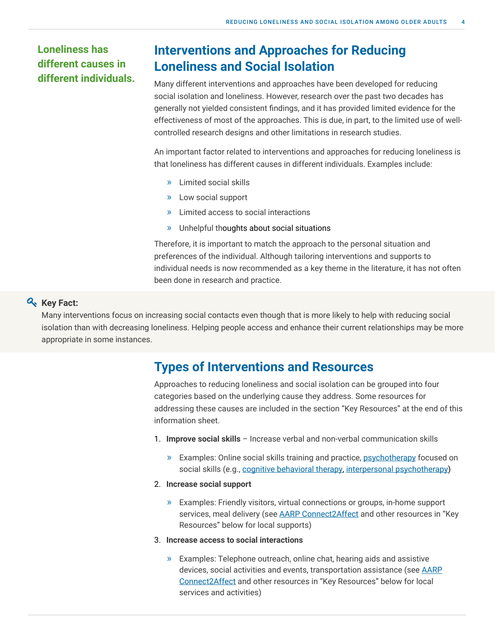# **Loneliness has different causes in different individuals.**

# **Interventions and Approaches for Reducing Loneliness and Social Isolation**

Many different interventions and approaches have been developed for reducing social isolation and loneliness. However, research over the past two decades has generally not yielded consistent findings, and it has provided limited evidence for the effectiveness of most of the approaches. This is due, in part, to the limited use of wellcontrolled research designs and other limitations in research studies.

An important factor related to interventions and approaches for reducing loneliness is that loneliness has different causes in different individuals. Examples include:

- » Limited social skills
- » Low social support
- » Limited access to social interactions
- » Unhelpful thoughts about social situations

Therefore, it is important to match the approach to the personal situation and preferences of the individual. Although tailoring interventions and supports to individual needs is now recommended as a key theme in the literature, it has not often been done in research and practice.

## **Key Fact:**

Many interventions focus on increasing social contacts even though that is more likely to help with reducing social isolation than with decreasing loneliness. Helping people access and enhance their current relationships may be more appropriate in some instances.

# **Types of Interventions and Resources**

Approaches to reducing loneliness and social isolation can be grouped into four categories based on the underlying cause they address. Some resources for addressing these causes are included in the section "Key Resources" at the end of this information sheet.

- 1. **Improve social skills** Increase verbal and non-verbal communication skills
	- » Examples: Online social skills training and practice, [psychotherapy](http://www.sprc.org/resources-programs/increased-access-mental-health-care-older-adults-getting-support-during-covid-19) focused on social skills (e.g., [cognitive behavioral therapy,](https://www.findcbt.org/FAT/index.cfm?fa=WhatIsCBT) [interpersonal psychotherapy](https://www.psychologytoday.com/us/therapy-types/interpersonal-psychotherapy))
- 2. **Increase social support**
	- » Examples: Friendly visitors, virtual connections or groups, in-home support services, meal delivery (see [AARP Connect2Affect](https://connect2affect.org/) and other resources in "Key Resources" below for local supports)
- 3. **Increase access to social interactions**
	- » Examples: Telephone outreach, online chat, hearing aids and assistive devices, social activities and events, transportation assistance (see [AARP](https://connect2affect.org/) [Connect2Affect](https://connect2affect.org/) and other resources in "Key Resources" below for local services and activities)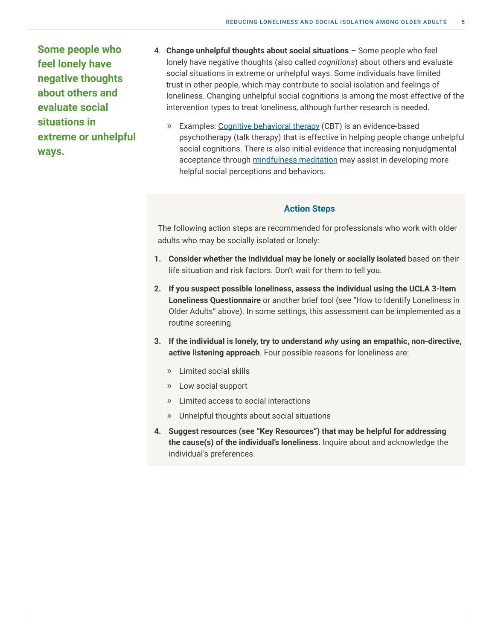**Some people who feel lonely have negative thoughts about others and evaluate social situations in extreme or unhelpful ways.**

- 4. **Change unhelpful thoughts about social situations** Some people who feel lonely have negative thoughts (also called *cognitions*) about others and evaluate social situations in extreme or unhelpful ways. Some individuals have limited trust in other people, which may contribute to social isolation and feelings of loneliness. Changing unhelpful social cognitions is among the most effective of the intervention types to treat loneliness, although further research is needed.
	- » Examples: [Cognitive behavioral therapy](https://www.findcbt.org/FAT/index.cfm?fa=WhatIsCBT) (CBT) is an evidence-based psychotherapy (talk therapy) that is effective in helping people change unhelpful social cognitions. There is also initial evidence that increasing nonjudgmental acceptance through [mindfulness meditation](https://www.pnas.org/content/116/9/3488) may assist in developing more helpful social perceptions and behaviors.

#### **Action Steps**

The following action steps are recommended for professionals who work with older adults who may be socially isolated or lonely:

- **1. Consider whether the individual may be lonely or socially isolated** based on their life situation and risk factors. Don't wait for them to tell you.
- **2. If you suspect possible loneliness, assess the individual using the UCLA 3-Item Loneliness Questionnaire** or another brief tool (see "How to Identify Loneliness in Older Adults" above). In some settings, this assessment can be implemented as a routine screening.
- **3. If the individual is lonely, try to understand** *why* **using an empathic, non-directive, active listening approach**. Four possible reasons for loneliness are:
	- » Limited social skills
	- » Low social support
	- » Limited access to social interactions
	- » Unhelpful thoughts about social situations
- **4. Suggest resources (see "Key Resources") that may be helpful for addressing the cause(s) of the individual's loneliness.** Inquire about and acknowledge the individual's preferences.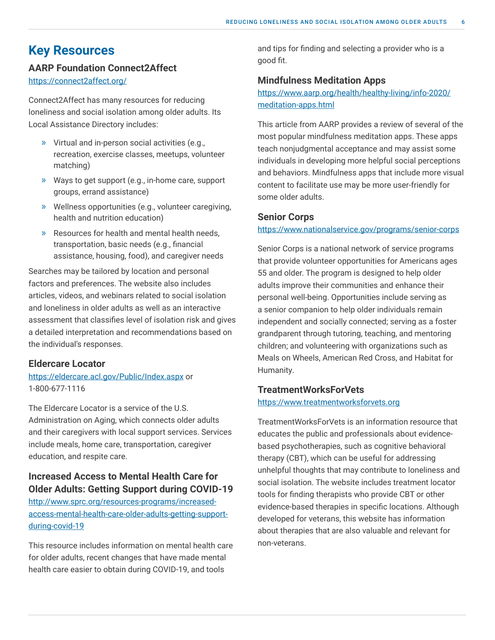# **Key Resources**

## **AARP Foundation Connect2Affect**

<https://connect2affect.org/>

Connect2Affect has many resources for reducing loneliness and social isolation among older adults. Its Local Assistance Directory includes:

- » Virtual and in-person social activities (e.g., recreation, exercise classes, meetups, volunteer matching)
- » Ways to get support (e.g., in-home care, support groups, errand assistance)
- » Wellness opportunities (e.g., volunteer caregiving, health and nutrition education)
- » Resources for health and mental health needs, transportation, basic needs (e.g., financial assistance, housing, food), and caregiver needs

Searches may be tailored by location and personal factors and preferences. The website also includes articles, videos, and webinars related to social isolation and loneliness in older adults as well as an interactive assessment that classifies level of isolation risk and gives a detailed interpretation and recommendations based on the individual's responses.

## **Eldercare Locator**

## [https://eldercare.acl.gov/Public/Index.aspx or](https://eldercare.acl.gov/Public/Index.aspx)  [1-800-677-1116](https://eldercare.acl.gov/Public/Index.aspx)

The Eldercare Locator is a service of the U.S. Administration on Aging, which connects older adults and their caregivers with local support services. Services include meals, home care, transportation, caregiver education, and respite care.

## **Increased Access to Mental Health Care for Older Adults: Getting Support during COVID-19**

[http://www.sprc.org/resources-programs/increased](http://www.sprc.org/resources-programs/increased-access-mental-health-care-older-adults-getting-support-during-covid-19)[access-mental-health-care-older-adults-getting-support](http://www.sprc.org/resources-programs/increased-access-mental-health-care-older-adults-getting-support-during-covid-19)[during-covid-19](http://www.sprc.org/resources-programs/increased-access-mental-health-care-older-adults-getting-support-during-covid-19)

This resource includes information on mental health care for older adults, recent changes that have made mental health care easier to obtain during COVID-19, and tools

and tips for finding and selecting a provider who is a good fit.

## **Mindfulness Meditation Apps**

[https://www.aarp.org/health/healthy-living/info-2020/](https://www.aarp.org/health/healthy-living/info-2020/meditation-apps.html) [meditation-apps.html](https://www.aarp.org/health/healthy-living/info-2020/meditation-apps.html)

This article from AARP provides a review of several of the most popular mindfulness meditation apps. These apps teach nonjudgmental acceptance and may assist some individuals in developing more helpful social perceptions and behaviors. Mindfulness apps that include more visual content to facilitate use may be more user-friendly for some older adults.

#### **Senior Corps**

#### <https://www.nationalservice.gov/programs/senior-corps>

Senior Corps is a national network of service programs that provide volunteer opportunities for Americans ages 55 and older. The program is designed to help older adults improve their communities and enhance their personal well-being. Opportunities include serving as a senior companion to help older individuals remain independent and socially connected; serving as a foster grandparent through tutoring, teaching, and mentoring children; and volunteering with organizations such as Meals on Wheels, American Red Cross, and Habitat for Humanity.

## **TreatmentWorksForVets**

#### <https://www.treatmentworksforvets.org>

TreatmentWorksForVets is an information resource that educates the public and professionals about evidencebased psychotherapies, such as cognitive behavioral therapy (CBT), which can be useful for addressing unhelpful thoughts that may contribute to loneliness and social isolation. The website includes treatment locator tools for finding therapists who provide CBT or other evidence-based therapies in specific locations. Although developed for veterans, this website has information about therapies that are also valuable and relevant for non-veterans.